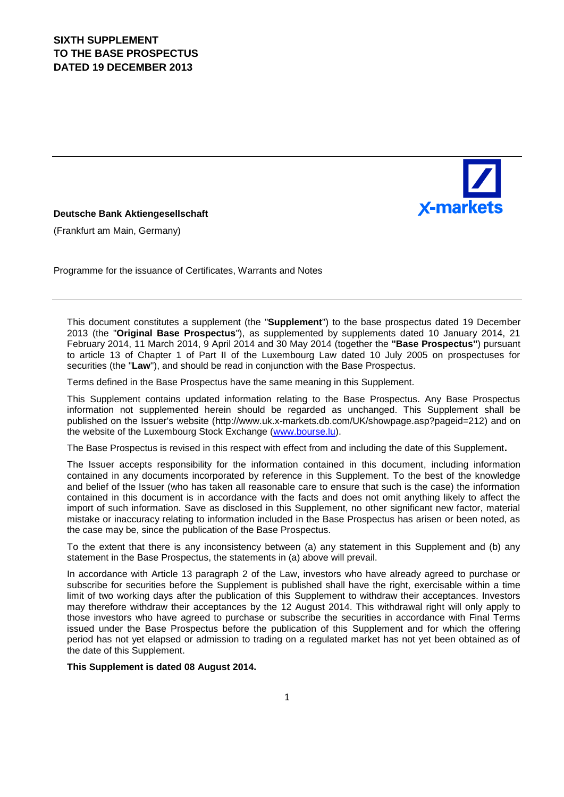

### **Deutsche Bank Aktiengesellschaft**

(Frankfurt am Main, Germany)

Programme for the issuance of Certificates, Warrants and Notes

This document constitutes a supplement (the "**Supplement**") to the base prospectus dated 19 December 2013 (the "**Original Base Prospectus**"), as supplemented by supplements dated 10 January 2014, 21 February 2014, 11 March 2014, 9 April 2014 and 30 May 2014 (together the **"Base Prospectus"**) pursuant to article 13 of Chapter 1 of Part II of the Luxembourg Law dated 10 July 2005 on prospectuses for securities (the "**Law**"), and should be read in conjunction with the Base Prospectus.

Terms defined in the Base Prospectus have the same meaning in this Supplement.

This Supplement contains updated information relating to the Base Prospectus. Any Base Prospectus information not supplemented herein should be regarded as unchanged. This Supplement shall be published on the Issuer's website (http://www.uk.x-markets.db.com/UK/showpage.asp?pageid=212) and on the website of the Luxembourg Stock Exchange (www.bourse.lu).

The Base Prospectus is revised in this respect with effect from and including the date of this Supplement**.**

The Issuer accepts responsibility for the information contained in this document, including information contained in any documents incorporated by reference in this Supplement. To the best of the knowledge and belief of the Issuer (who has taken all reasonable care to ensure that such is the case) the information contained in this document is in accordance with the facts and does not omit anything likely to affect the import of such information. Save as disclosed in this Supplement, no other significant new factor, material mistake or inaccuracy relating to information included in the Base Prospectus has arisen or been noted, as the case may be, since the publication of the Base Prospectus.

To the extent that there is any inconsistency between (a) any statement in this Supplement and (b) any statement in the Base Prospectus, the statements in (a) above will prevail.

In accordance with Article 13 paragraph 2 of the Law, investors who have already agreed to purchase or subscribe for securities before the Supplement is published shall have the right, exercisable within a time limit of two working days after the publication of this Supplement to withdraw their acceptances. Investors may therefore withdraw their acceptances by the 12 August 2014. This withdrawal right will only apply to those investors who have agreed to purchase or subscribe the securities in accordance with Final Terms issued under the Base Prospectus before the publication of this Supplement and for which the offering period has not yet elapsed or admission to trading on a regulated market has not yet been obtained as of the date of this Supplement.

**This Supplement is dated 08 August 2014.**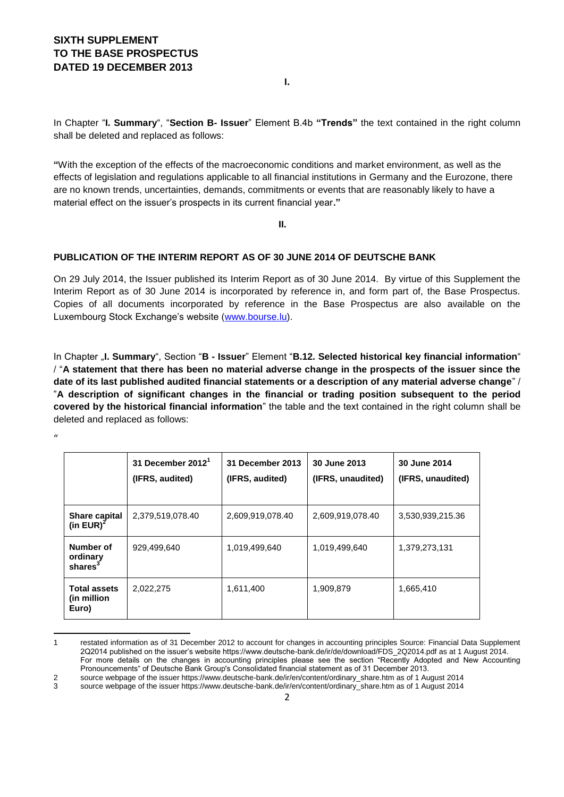**I.**

In Chapter "**I. Summary**", "**Section B- Issuer**" Element B.4b **"Trends"** the text contained in the right column shall be deleted and replaced as follows:

**"**With the exception of the effects of the macroeconomic conditions and market environment, as well as the effects of legislation and regulations applicable to all financial institutions in Germany and the Eurozone, there are no known trends, uncertainties, demands, commitments or events that are reasonably likely to have a material effect on the issuer's prospects in its current financial year**."**

**II.**

### **PUBLICATION OF THE INTERIM REPORT AS OF 30 JUNE 2014 OF DEUTSCHE BANK**

On 29 July 2014, the Issuer published its Interim Report as of 30 June 2014. By virtue of this Supplement the Interim Report as of 30 June 2014 is incorporated by reference in, and form part of, the Base Prospectus. Copies of all documents incorporated by reference in the Base Prospectus are also available on the Luxembourg Stock Exchange's website [\(www.bourse.lu\)](http://www.bourse.lu/).

In Chapter "**I. Summary**", Section "**B - Issuer**" Element "**B.12. Selected historical key financial information**" / "**A statement that there has been no material adverse change in the prospects of the issuer since the date of its last published audited financial statements or a description of any material adverse change**" / "**A description of significant changes in the financial or trading position subsequent to the period covered by the historical financial information**" the table and the text contained in the right column shall be deleted and replaced as follows:

|                                              | 31 December $20121$<br>(IFRS, audited) | 31 December 2013<br>(IFRS, audited) | 30 June 2013<br>(IFRS, unaudited) | 30 June 2014<br>(IFRS, unaudited) |
|----------------------------------------------|----------------------------------------|-------------------------------------|-----------------------------------|-----------------------------------|
| <b>Share capital</b><br>(in EUR) $2$         | 2,379,519,078.40                       | 2,609,919,078.40                    | 2,609,919,078.40                  | 3,530,939,215.36                  |
| Number of<br>ordinary<br>shares <sup>3</sup> | 929,499,640                            | 1,019,499,640                       | 1,019,499,640                     | 1,379,273,131                     |
| <b>Total assets</b><br>(in million)<br>Euro) | 2,022,275                              | 1,611,400                           | 1,909,879                         | 1,665,410                         |

**<sup>.</sup>** 1 restated information as of 31 December 2012 to account for changes in accounting principles Source: Financial Data Supplement 2Q2014 published on the issuer's website https://www.deutsche-bank.de/ir/de/download/FDS\_2Q2014.pdf as at 1 August 2014. For more details on the changes in accounting principles please see the section "Recently Adopted and New Accounting Pronouncements" of Deutsche Bank Group's Consolidated financial statement as of 31 December 2013. 2 source webpage of the issuer https://www.deutsche-bank.de/ir/en/content/ordinary\_share.htm as of 1 August 2014

 $\mathbf{u}$ 

<sup>3</sup> source webpage of the issuer https://www.deutsche-bank.de/ir/en/content/ordinary\_share.htm as of 1 August 2014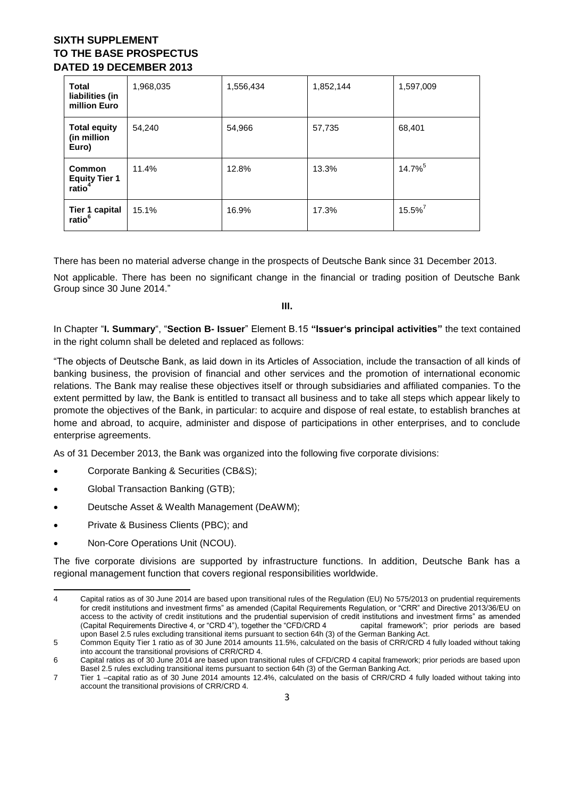| <b>Total</b><br>liabilities (in<br>million Euro      | 1,968,035 | 1,556,434 | 1,852,144 | 1,597,009             |
|------------------------------------------------------|-----------|-----------|-----------|-----------------------|
| <b>Total equity</b><br>(in million<br>Euro)          | 54,240    | 54,966    | 57,735    | 68,401                |
| Common<br><b>Equity Tier 1</b><br>ratio <sup>4</sup> | 11.4%     | 12.8%     | 13.3%     | 14.7% <sup>5</sup>    |
| Tier 1 capital<br>ratio <sup>6</sup>                 | 15.1%     | 16.9%     | 17.3%     | $15.5\%$ <sup>7</sup> |

There has been no material adverse change in the prospects of Deutsche Bank since 31 December 2013.

Not applicable. There has been no significant change in the financial or trading position of Deutsche Bank Group since 30 June 2014."

**III.**

In Chapter "**I. Summary**", "**Section B- Issuer**" Element B.15 **"Issuer's principal activities"** the text contained in the right column shall be deleted and replaced as follows:

"The objects of Deutsche Bank, as laid down in its Articles of Association, include the transaction of all kinds of banking business, the provision of financial and other services and the promotion of international economic relations. The Bank may realise these objectives itself or through subsidiaries and affiliated companies. To the extent permitted by law, the Bank is entitled to transact all business and to take all steps which appear likely to promote the objectives of the Bank, in particular: to acquire and dispose of real estate, to establish branches at home and abroad, to acquire, administer and dispose of participations in other enterprises, and to conclude enterprise agreements.

As of 31 December 2013, the Bank was organized into the following five corporate divisions:

- Corporate Banking & Securities (CB&S);
- Global Transaction Banking (GTB);
- Deutsche Asset & Wealth Management (DeAWM);
- Private & Business Clients (PBC); and
- Non-Core Operations Unit (NCOU).

The five corporate divisions are supported by infrastructure functions. In addition, Deutsche Bank has a regional management function that covers regional responsibilities worldwide.

**<sup>.</sup>** 4 Capital ratios as of 30 June 2014 are based upon transitional rules of the Regulation (EU) No 575/2013 on prudential requirements for credit institutions and investment firms" as amended (Capital Requirements Requiation, or "CRR" and Directive 2013/36/EU on access to the activity of credit institutions and the prudential supervision of credit institutions and investment firms" as amended (Capital Requirements Directive 4, or "CRD 4"), together the "CFD/CRD 4 capital framework"; prior periods are based upon Basel 2.5 rules excluding transitional items pursuant to section 64h (3) of the German Banking Act.

<sup>5</sup> Common Equity Tier 1 ratio as of 30 June 2014 amounts 11.5%, calculated on the basis of CRR/CRD 4 fully loaded without taking into account the transitional provisions of CRR/CRD 4.

<sup>6</sup> Capital ratios as of 30 June 2014 are based upon transitional rules of CFD/CRD 4 capital framework; prior periods are based upon Basel 2.5 rules excluding transitional items pursuant to section 64h (3) of the German Banking Act.

<sup>7</sup> Tier 1 –capital ratio as of 30 June 2014 amounts 12.4%, calculated on the basis of CRR/CRD 4 fully loaded without taking into account the transitional provisions of CRR/CRD 4.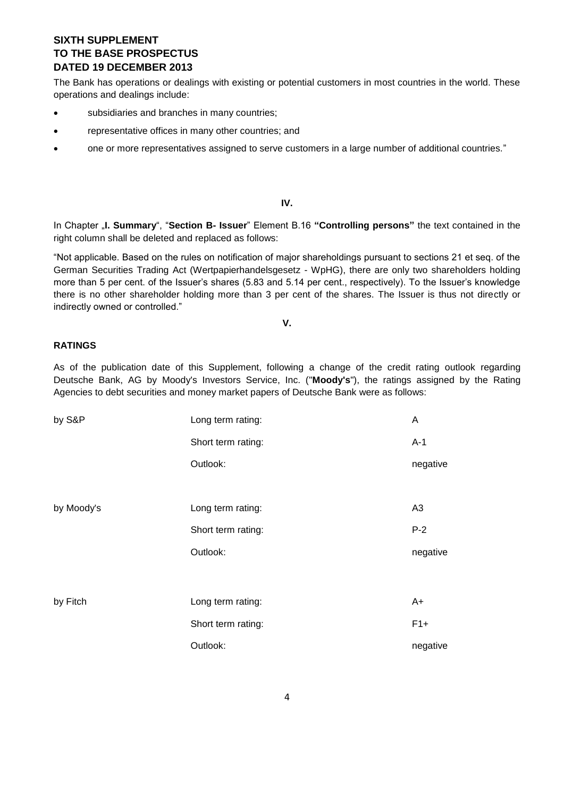The Bank has operations or dealings with existing or potential customers in most countries in the world. These operations and dealings include:

- subsidiaries and branches in many countries;
- representative offices in many other countries; and
- one or more representatives assigned to serve customers in a large number of additional countries."

### **IV.**

In Chapter "**I. Summary**", "**Section B- Issuer**" Element B.16 **"Controlling persons"** the text contained in the right column shall be deleted and replaced as follows:

"Not applicable. Based on the rules on notification of major shareholdings pursuant to sections 21 et seq. of the German Securities Trading Act (Wertpapierhandelsgesetz - WpHG), there are only two shareholders holding more than 5 per cent. of the Issuer's shares (5.83 and 5.14 per cent., respectively). To the Issuer's knowledge there is no other shareholder holding more than 3 per cent of the shares. The Issuer is thus not directly or indirectly owned or controlled."

### **V.**

### **RATINGS**

As of the publication date of this Supplement, following a change of the credit rating outlook regarding Deutsche Bank, AG by Moody's Investors Service, Inc. ("**Moody's**"), the ratings assigned by the Rating Agencies to debt securities and money market papers of Deutsche Bank were as follows:

| by S&P     | Long term rating:  | A              |
|------------|--------------------|----------------|
|            | Short term rating: | $A-1$          |
|            | Outlook:           | negative       |
|            |                    |                |
| by Moody's | Long term rating:  | A <sub>3</sub> |
|            | Short term rating: | $P-2$          |
|            | Outlook:           | negative       |
|            |                    |                |
| by Fitch   | Long term rating:  | A+             |
|            | Short term rating: | $F1+$          |
|            | Outlook:           | negative       |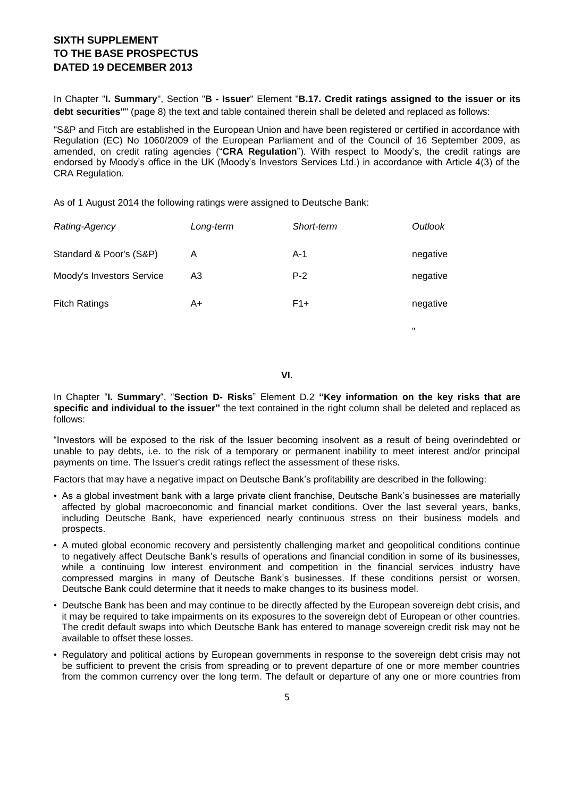In Chapter "**I. Summary**", Section "**B - Issuer**" Element "**B.17. Credit ratings assigned to the issuer or its debt securities"**" (page 8) the text and table contained therein shall be deleted and replaced as follows:

"S&P and Fitch are established in the European Union and have been registered or certified in accordance with Regulation (EC) No 1060/2009 of the European Parliament and of the Council of 16 September 2009, as amended, on credit rating agencies ("**CRA Regulation**"). With respect to Moody's, the credit ratings are endorsed by Moody's office in the UK (Moody's Investors Services Ltd.) in accordance with Article 4(3) of the CRA Regulation.

As of 1 August 2014 the following ratings were assigned to Deutsche Bank:

|    | Short-term | Outlook  |
|----|------------|----------|
| Α  | $A-1$      | negative |
| A3 | $P-2$      | negative |
| A+ | $F1+$      | negative |
|    | Long-term  |          |

**VI.**

"

In Chapter "**I. Summary**", "**Section D- Risks**" Element D.2 **"Key information on the key risks that are specific and individual to the issuer"** the text contained in the right column shall be deleted and replaced as follows:

"Investors will be exposed to the risk of the Issuer becoming insolvent as a result of being overindebted or unable to pay debts, i.e. to the risk of a temporary or permanent inability to meet interest and/or principal payments on time. The Issuer's credit ratings reflect the assessment of these risks.

Factors that may have a negative impact on Deutsche Bank's profitability are described in the following:

- As a global investment bank with a large private client franchise, Deutsche Bank's businesses are materially affected by global macroeconomic and financial market conditions. Over the last several years, banks, including Deutsche Bank, have experienced nearly continuous stress on their business models and prospects.
- A muted global economic recovery and persistently challenging market and geopolitical conditions continue to negatively affect Deutsche Bank's results of operations and financial condition in some of its businesses, while a continuing low interest environment and competition in the financial services industry have compressed margins in many of Deutsche Bank's businesses. If these conditions persist or worsen, Deutsche Bank could determine that it needs to make changes to its business model.
- Deutsche Bank has been and may continue to be directly affected by the European sovereign debt crisis, and it may be required to take impairments on its exposures to the sovereign debt of European or other countries. The credit default swaps into which Deutsche Bank has entered to manage sovereign credit risk may not be available to offset these losses.
- Regulatory and political actions by European governments in response to the sovereign debt crisis may not be sufficient to prevent the crisis from spreading or to prevent departure of one or more member countries from the common currency over the long term. The default or departure of any one or more countries from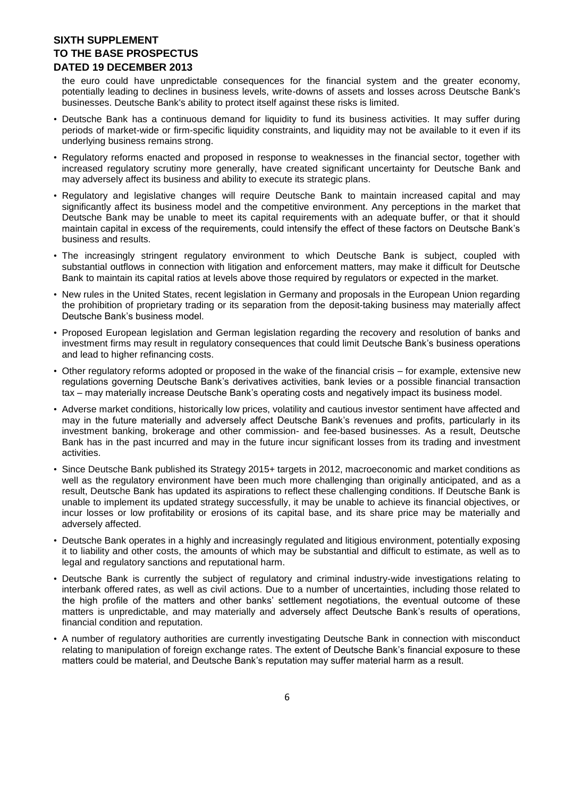the euro could have unpredictable consequences for the financial system and the greater economy, potentially leading to declines in business levels, write-downs of assets and losses across Deutsche Bank's businesses. Deutsche Bank's ability to protect itself against these risks is limited.

- Deutsche Bank has a continuous demand for liquidity to fund its business activities. It may suffer during periods of market-wide or firm-specific liquidity constraints, and liquidity may not be available to it even if its underlying business remains strong.
- Regulatory reforms enacted and proposed in response to weaknesses in the financial sector, together with increased regulatory scrutiny more generally, have created significant uncertainty for Deutsche Bank and may adversely affect its business and ability to execute its strategic plans.
- Regulatory and legislative changes will require Deutsche Bank to maintain increased capital and may significantly affect its business model and the competitive environment. Any perceptions in the market that Deutsche Bank may be unable to meet its capital requirements with an adequate buffer, or that it should maintain capital in excess of the requirements, could intensify the effect of these factors on Deutsche Bank's business and results.
- The increasingly stringent regulatory environment to which Deutsche Bank is subject, coupled with substantial outflows in connection with litigation and enforcement matters, may make it difficult for Deutsche Bank to maintain its capital ratios at levels above those required by regulators or expected in the market.
- New rules in the United States, recent legislation in Germany and proposals in the European Union regarding the prohibition of proprietary trading or its separation from the deposit-taking business may materially affect Deutsche Bank's business model.
- Proposed European legislation and German legislation regarding the recovery and resolution of banks and investment firms may result in regulatory consequences that could limit Deutsche Bank's business operations and lead to higher refinancing costs.
- Other regulatory reforms adopted or proposed in the wake of the financial crisis for example, extensive new regulations governing Deutsche Bank's derivatives activities, bank levies or a possible financial transaction tax – may materially increase Deutsche Bank's operating costs and negatively impact its business model.
- Adverse market conditions, historically low prices, volatility and cautious investor sentiment have affected and may in the future materially and adversely affect Deutsche Bank's revenues and profits, particularly in its investment banking, brokerage and other commission- and fee-based businesses. As a result, Deutsche Bank has in the past incurred and may in the future incur significant losses from its trading and investment activities.
- Since Deutsche Bank published its Strategy 2015+ targets in 2012, macroeconomic and market conditions as well as the regulatory environment have been much more challenging than originally anticipated, and as a result, Deutsche Bank has updated its aspirations to reflect these challenging conditions. If Deutsche Bank is unable to implement its updated strategy successfully, it may be unable to achieve its financial objectives, or incur losses or low profitability or erosions of its capital base, and its share price may be materially and adversely affected.
- Deutsche Bank operates in a highly and increasingly regulated and litigious environment, potentially exposing it to liability and other costs, the amounts of which may be substantial and difficult to estimate, as well as to legal and regulatory sanctions and reputational harm.
- Deutsche Bank is currently the subject of regulatory and criminal industry-wide investigations relating to interbank offered rates, as well as civil actions. Due to a number of uncertainties, including those related to the high profile of the matters and other banks' settlement negotiations, the eventual outcome of these matters is unpredictable, and may materially and adversely affect Deutsche Bank's results of operations, financial condition and reputation.
- A number of regulatory authorities are currently investigating Deutsche Bank in connection with misconduct relating to manipulation of foreign exchange rates. The extent of Deutsche Bank's financial exposure to these matters could be material, and Deutsche Bank's reputation may suffer material harm as a result.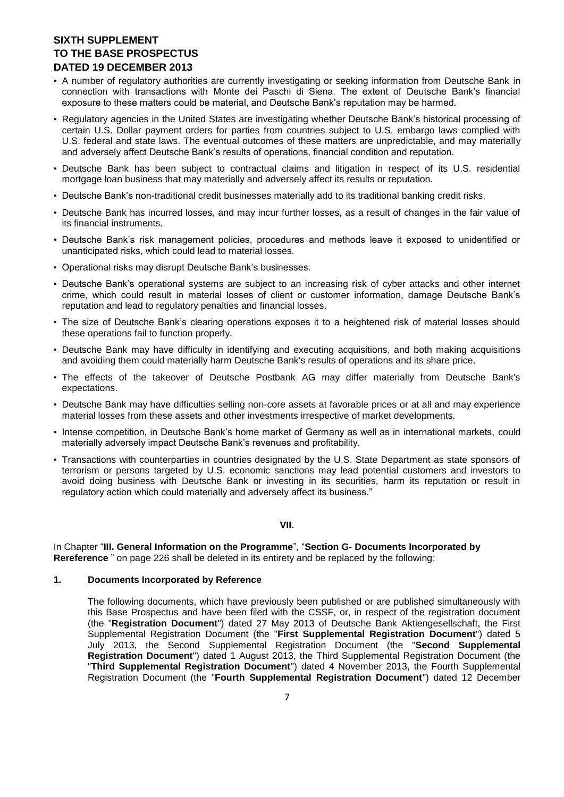- A number of regulatory authorities are currently investigating or seeking information from Deutsche Bank in connection with transactions with Monte dei Paschi di Siena. The extent of Deutsche Bank's financial exposure to these matters could be material, and Deutsche Bank's reputation may be harmed.
- Regulatory agencies in the United States are investigating whether Deutsche Bank's historical processing of certain U.S. Dollar payment orders for parties from countries subject to U.S. embargo laws complied with U.S. federal and state laws. The eventual outcomes of these matters are unpredictable, and may materially and adversely affect Deutsche Bank's results of operations, financial condition and reputation.
- Deutsche Bank has been subject to contractual claims and litigation in respect of its U.S. residential mortgage loan business that may materially and adversely affect its results or reputation.
- Deutsche Bank's non-traditional credit businesses materially add to its traditional banking credit risks.
- Deutsche Bank has incurred losses, and may incur further losses, as a result of changes in the fair value of its financial instruments.
- Deutsche Bank's risk management policies, procedures and methods leave it exposed to unidentified or unanticipated risks, which could lead to material losses.
- Operational risks may disrupt Deutsche Bank's businesses.
- Deutsche Bank's operational systems are subject to an increasing risk of cyber attacks and other internet crime, which could result in material losses of client or customer information, damage Deutsche Bank's reputation and lead to regulatory penalties and financial losses.
- The size of Deutsche Bank's clearing operations exposes it to a heightened risk of material losses should these operations fail to function properly.
- Deutsche Bank may have difficulty in identifying and executing acquisitions, and both making acquisitions and avoiding them could materially harm Deutsche Bank's results of operations and its share price.
- The effects of the takeover of Deutsche Postbank AG may differ materially from Deutsche Bank's expectations.
- Deutsche Bank may have difficulties selling non-core assets at favorable prices or at all and may experience material losses from these assets and other investments irrespective of market developments.
- Intense competition, in Deutsche Bank's home market of Germany as well as in international markets, could materially adversely impact Deutsche Bank's revenues and profitability.
- Transactions with counterparties in countries designated by the U.S. State Department as state sponsors of terrorism or persons targeted by U.S. economic sanctions may lead potential customers and investors to avoid doing business with Deutsche Bank or investing in its securities, harm its reputation or result in regulatory action which could materially and adversely affect its business."

### **VII.**

In Chapter "**III. General Information on the Programme**", "**Section G- Documents Incorporated by Rereference** " on page 226 shall be deleted in its entirety and be replaced by the following:

### **1. Documents Incorporated by Reference**

The following documents, which have previously been published or are published simultaneously with this Base Prospectus and have been filed with the CSSF, or, in respect of the registration document (the "**Registration Document**") dated 27 May 2013 of Deutsche Bank Aktiengesellschaft, the First Supplemental Registration Document (the "**First Supplemental Registration Document**") dated 5 July 2013, the Second Supplemental Registration Document (the "**Second Supplemental Registration Document**") dated 1 August 2013, the Third Supplemental Registration Document (the "**Third Supplemental Registration Document**") dated 4 November 2013, the Fourth Supplemental Registration Document (the "**Fourth Supplemental Registration Document**") dated 12 December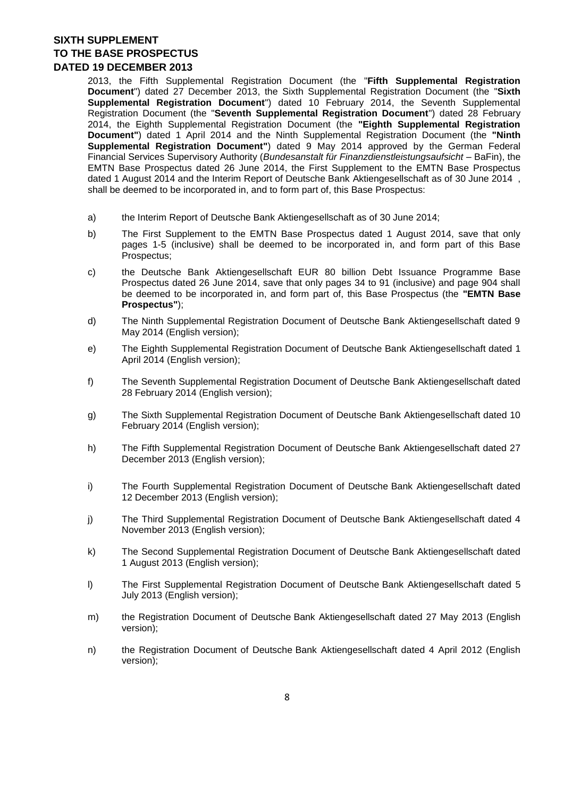2013, the Fifth Supplemental Registration Document (the "**Fifth Supplemental Registration Document**") dated 27 December 2013, the Sixth Supplemental Registration Document (the "**Sixth Supplemental Registration Document**") dated 10 February 2014, the Seventh Supplemental Registration Document (the "**Seventh Supplemental Registration Document**") dated 28 February 2014, the Eighth Supplemental Registration Document (the **"Eighth Supplemental Registration Document"**) dated 1 April 2014 and the Ninth Supplemental Registration Document (the **"Ninth Supplemental Registration Document"**) dated 9 May 2014 approved by the German Federal Financial Services Supervisory Authority (*Bundesanstalt für Finanzdienstleistungsaufsicht –* BaFin), the EMTN Base Prospectus dated 26 June 2014, the First Supplement to the EMTN Base Prospectus dated 1 August 2014 and the Interim Report of Deutsche Bank Aktiengesellschaft as of 30 June 2014 , shall be deemed to be incorporated in, and to form part of, this Base Prospectus:

- a) the Interim Report of Deutsche Bank Aktiengesellschaft as of 30 June 2014;
- b) The First Supplement to the EMTN Base Prospectus dated 1 August 2014, save that only pages 1-5 (inclusive) shall be deemed to be incorporated in, and form part of this Base Prospectus;
- c) the Deutsche Bank Aktiengesellschaft EUR 80 billion Debt Issuance Programme Base Prospectus dated 26 June 2014, save that only pages 34 to 91 (inclusive) and page 904 shall be deemed to be incorporated in, and form part of, this Base Prospectus (the **"EMTN Base Prospectus"**);
- d) The Ninth Supplemental Registration Document of Deutsche Bank Aktiengesellschaft dated 9 May 2014 (English version);
- e) The Eighth Supplemental Registration Document of Deutsche Bank Aktiengesellschaft dated 1 April 2014 (English version);
- f) The Seventh Supplemental Registration Document of Deutsche Bank Aktiengesellschaft dated 28 February 2014 (English version);
- g) The Sixth Supplemental Registration Document of Deutsche Bank Aktiengesellschaft dated 10 February 2014 (English version);
- h) The Fifth Supplemental Registration Document of Deutsche Bank Aktiengesellschaft dated 27 December 2013 (English version);
- i) The Fourth Supplemental Registration Document of Deutsche Bank Aktiengesellschaft dated 12 December 2013 (English version);
- j) The Third Supplemental Registration Document of Deutsche Bank Aktiengesellschaft dated 4 November 2013 (English version);
- k) The Second Supplemental Registration Document of Deutsche Bank Aktiengesellschaft dated 1 August 2013 (English version);
- l) The First Supplemental Registration Document of Deutsche Bank Aktiengesellschaft dated 5 July 2013 (English version);
- m) the Registration Document of Deutsche Bank Aktiengesellschaft dated 27 May 2013 (English version);
- n) the Registration Document of Deutsche Bank Aktiengesellschaft dated 4 April 2012 (English version);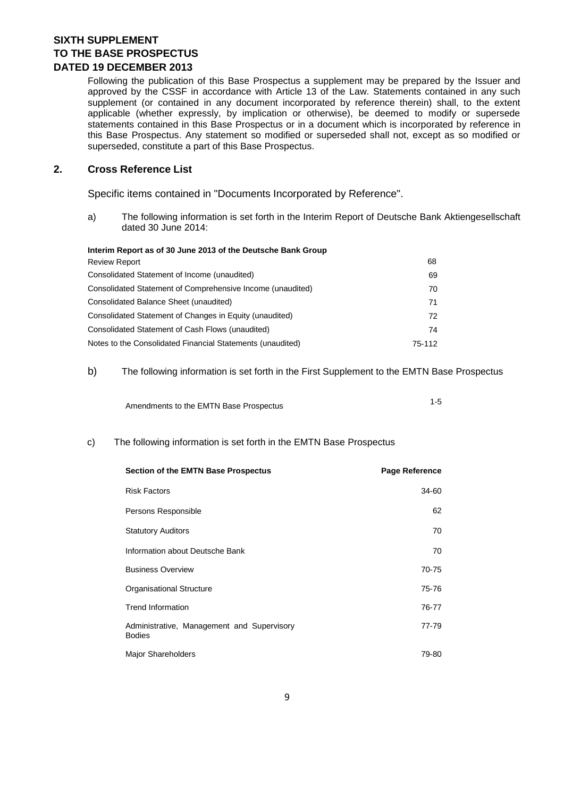Following the publication of this Base Prospectus a supplement may be prepared by the Issuer and approved by the CSSF in accordance with Article 13 of the Law. Statements contained in any such supplement (or contained in any document incorporated by reference therein) shall, to the extent applicable (whether expressly, by implication or otherwise), be deemed to modify or supersede statements contained in this Base Prospectus or in a document which is incorporated by reference in this Base Prospectus. Any statement so modified or superseded shall not, except as so modified or superseded, constitute a part of this Base Prospectus.

### **2. Cross Reference List**

Specific items contained in "Documents Incorporated by Reference".

a) The following information is set forth in the Interim Report of Deutsche Bank Aktiengesellschaft dated 30 June 2014:

| Interim Report as of 30 June 2013 of the Deutsche Bank Group |        |
|--------------------------------------------------------------|--------|
| <b>Review Report</b>                                         | 68     |
| Consolidated Statement of Income (unaudited)                 | 69     |
| Consolidated Statement of Comprehensive Income (unaudited)   | 70     |
| Consolidated Balance Sheet (unaudited)                       | 71     |
| Consolidated Statement of Changes in Equity (unaudited)      | 72     |
| Consolidated Statement of Cash Flows (unaudited)             | 74     |
| Notes to the Consolidated Financial Statements (unaudited)   | 75-112 |

### b) The following information is set forth in the First Supplement to the EMTN Base Prospectus

| Amendments to the EMTN Base Prospectus |  |
|----------------------------------------|--|
|                                        |  |

### c) The following information is set forth in the EMTN Base Prospectus

| <b>Section of the EMTN Base Prospectus</b>                  | <b>Page Reference</b> |
|-------------------------------------------------------------|-----------------------|
| <b>Risk Factors</b>                                         | 34-60                 |
| Persons Responsible                                         | 62                    |
| <b>Statutory Auditors</b>                                   | 70                    |
| Information about Deutsche Bank                             | 70                    |
| <b>Business Overview</b>                                    | 70-75                 |
| <b>Organisational Structure</b>                             | 75-76                 |
| <b>Trend Information</b>                                    | 76-77                 |
| Administrative, Management and Supervisory<br><b>Bodies</b> | 77-79                 |
| <b>Major Shareholders</b>                                   | 79-80                 |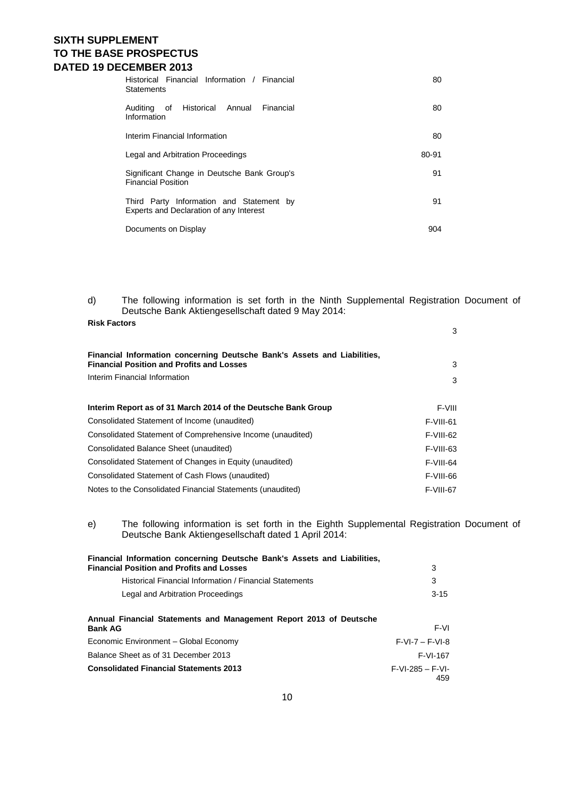| Historical Financial Information / Financial<br><b>Statements</b>                   | 80    |
|-------------------------------------------------------------------------------------|-------|
| Auditing of Historical Annual<br>Financial<br>Information                           | 80    |
| Interim Financial Information                                                       | 80    |
| Legal and Arbitration Proceedings                                                   | 80-91 |
| Significant Change in Deutsche Bank Group's<br><b>Financial Position</b>            | 91    |
| Third Party Information and Statement by<br>Experts and Declaration of any Interest | 91    |
| Documents on Display                                                                | 904   |

d) The following information is set forth in the Ninth Supplemental Registration Document of Deutsche Bank Aktiengesellschaft dated 9 May 2014:

| <b>Risk Factors</b>                                                                                                          | 3         |
|------------------------------------------------------------------------------------------------------------------------------|-----------|
|                                                                                                                              |           |
| Financial Information concerning Deutsche Bank's Assets and Liabilities,<br><b>Financial Position and Profits and Losses</b> | 3         |
| Interim Financial Information                                                                                                | 3         |
|                                                                                                                              |           |
| Interim Report as of 31 March 2014 of the Deutsche Bank Group                                                                | F-VIII    |
| Consolidated Statement of Income (unaudited)                                                                                 | F-VIII-61 |
| Consolidated Statement of Comprehensive Income (unaudited)                                                                   | F-VIII-62 |
| Consolidated Balance Sheet (unaudited)                                                                                       | F-VIII-63 |
| Consolidated Statement of Changes in Equity (unaudited)                                                                      | F-VIII-64 |
| Consolidated Statement of Cash Flows (unaudited)                                                                             | F-VIII-66 |
| Notes to the Consolidated Financial Statements (unaudited)                                                                   | F-VIII-67 |

e) The following information is set forth in the Eighth Supplemental Registration Document of Deutsche Bank Aktiengesellschaft dated 1 April 2014:

| Financial Information concerning Deutsche Bank's Assets and Liabilities,             |                           |
|--------------------------------------------------------------------------------------|---------------------------|
| <b>Financial Position and Profits and Losses</b>                                     | 3                         |
| Historical Financial Information / Financial Statements                              | 3                         |
| Legal and Arbitration Proceedings                                                    | $3 - 15$                  |
| Annual Financial Statements and Management Report 2013 of Deutsche<br><b>Bank AG</b> | F-VI                      |
| Economic Environment - Global Economy                                                | $F-VI-7 - F-VI-8$         |
| Balance Sheet as of 31 December 2013                                                 | F-VI-167                  |
| <b>Consolidated Financial Statements 2013</b>                                        | $F-VI-285 - F-VI-$<br>459 |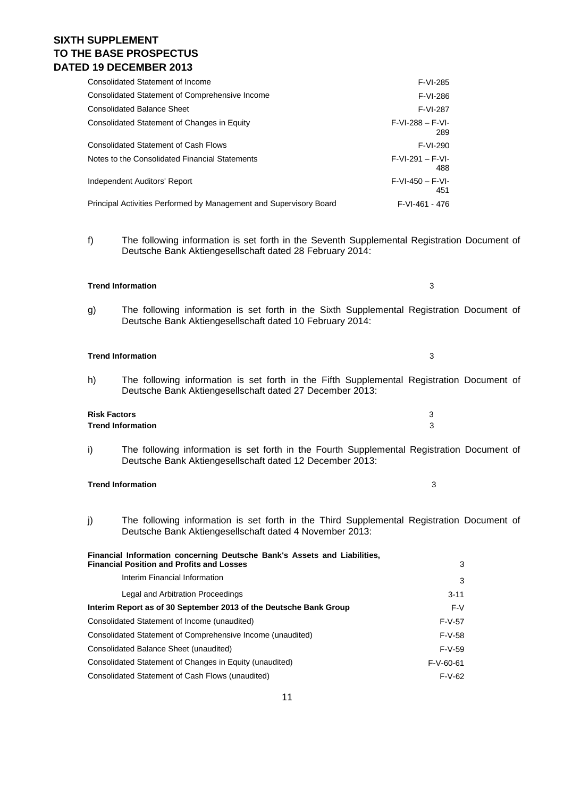### 11

# **SIXTH SUPPLEMENT TO THE BASE PROSPECTUS DATED 19 DECEMBER 2013**

| Consolidated Statement of Income                                   | F-VI-285                  |
|--------------------------------------------------------------------|---------------------------|
| Consolidated Statement of Comprehensive Income                     | F-VI-286                  |
| <b>Consolidated Balance Sheet</b>                                  | F-VI-287                  |
| Consolidated Statement of Changes in Equity                        | $F-VI-288 - F-VI-$<br>289 |
| <b>Consolidated Statement of Cash Flows</b>                        | F-VI-290                  |
| Notes to the Consolidated Financial Statements                     | $F-VI-291 - F-VI-$<br>488 |
| Independent Auditors' Report                                       | $F-VI-450 - F-VI-$<br>451 |
| Principal Activities Performed by Management and Supervisory Board | $F-VI-461 - 476$          |

f) The following information is set forth in the Seventh Supplemental Registration Document of Deutsche Bank Aktiengesellschaft dated 28 February 2014:

### **Trend Information** 3

g) The following information is set forth in the Sixth Supplemental Registration Document of Deutsche Bank Aktiengesellschaft dated 10 February 2014:

### **Trend Information** 3

h) The following information is set forth in the Fifth Supplemental Registration Document of Deutsche Bank Aktiengesellschaft dated 27 December 2013:

# **Risk Factors** 3 **Trend Information** 3

i) The following information is set forth in the Fourth Supplemental Registration Document of Deutsche Bank Aktiengesellschaft dated 12 December 2013:

### **Trend Information** 3

j) The following information is set forth in the Third Supplemental Registration Document of Deutsche Bank Aktiengesellschaft dated 4 November 2013:

### **Financial Information concerning Deutsche Bank's Assets and Liabilities, Financial Position and Profits and Losses** 3

| Interim Financial Information                                     | 3           |
|-------------------------------------------------------------------|-------------|
| Legal and Arbitration Proceedings                                 | $3 - 11$    |
| Interim Report as of 30 September 2013 of the Deutsche Bank Group | F-V         |
| Consolidated Statement of Income (unaudited)                      | $F-V-57$    |
| Consolidated Statement of Comprehensive Income (unaudited)        | $F-V-58$    |
| Consolidated Balance Sheet (unaudited)                            | $F-V-59$    |
| Consolidated Statement of Changes in Equity (unaudited)           | $F-V-60-61$ |
| Consolidated Statement of Cash Flows (unaudited)                  | $F-V-62$    |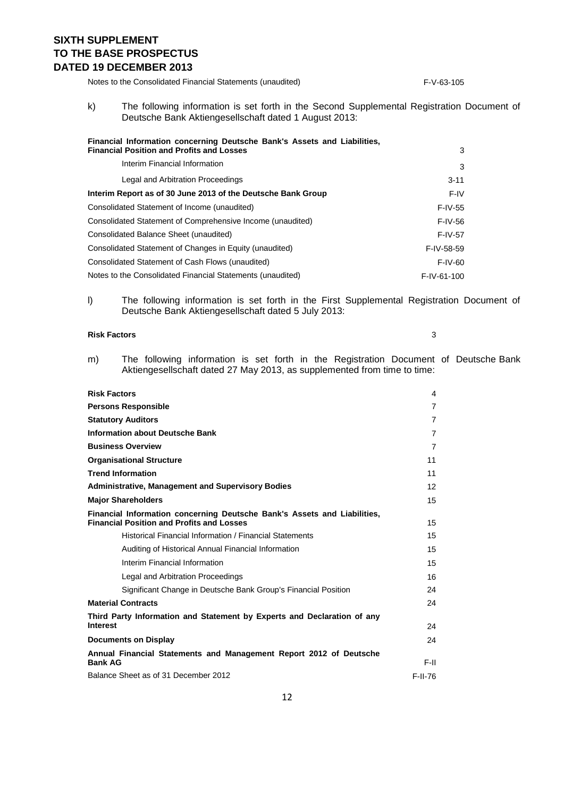Notes to the Consolidated Financial Statements (unaudited) F-V-63-105

k) The following information is set forth in the Second Supplemental Registration Document of Deutsche Bank Aktiengesellschaft dated 1 August 2013:

| Financial Information concerning Deutsche Bank's Assets and Liabilities,<br><b>Financial Position and Profits and Losses</b> | 3           |
|------------------------------------------------------------------------------------------------------------------------------|-------------|
| Interim Financial Information                                                                                                | 3           |
| Legal and Arbitration Proceedings                                                                                            | $3 - 11$    |
| Interim Report as of 30 June 2013 of the Deutsche Bank Group                                                                 | F-IV        |
| Consolidated Statement of Income (unaudited)                                                                                 | F-IV-55     |
| Consolidated Statement of Comprehensive Income (unaudited)                                                                   | F-IV-56     |
| Consolidated Balance Sheet (unaudited)                                                                                       | $F-IV-57$   |
| Consolidated Statement of Changes in Equity (unaudited)                                                                      | F-IV-58-59  |
| Consolidated Statement of Cash Flows (unaudited)                                                                             | F-IV-60     |
| Notes to the Consolidated Financial Statements (unaudited)                                                                   | F-IV-61-100 |

l) The following information is set forth in the First Supplemental Registration Document of Deutsche Bank Aktiengesellschaft dated 5 July 2013:

#### **Risk Factors** 3

m) The following information is set forth in the Registration Document of Deutsche Bank Aktiengesellschaft dated 27 May 2013, as supplemented from time to time:

| <b>Risk Factors</b>                                                                                                          | 4              |
|------------------------------------------------------------------------------------------------------------------------------|----------------|
| <b>Persons Responsible</b>                                                                                                   | $\overline{7}$ |
| <b>Statutory Auditors</b>                                                                                                    | 7              |
| <b>Information about Deutsche Bank</b>                                                                                       | $\overline{7}$ |
| <b>Business Overview</b>                                                                                                     | $\overline{7}$ |
| <b>Organisational Structure</b>                                                                                              | 11             |
| <b>Trend Information</b>                                                                                                     | 11             |
| <b>Administrative, Management and Supervisory Bodies</b>                                                                     | 12             |
| <b>Major Shareholders</b>                                                                                                    | 15             |
| Financial Information concerning Deutsche Bank's Assets and Liabilities,<br><b>Financial Position and Profits and Losses</b> | 15             |
| Historical Financial Information / Financial Statements                                                                      | 15             |
| Auditing of Historical Annual Financial Information                                                                          | 15             |
| Interim Financial Information                                                                                                | 15             |
| Legal and Arbitration Proceedings                                                                                            | 16             |
| Significant Change in Deutsche Bank Group's Financial Position                                                               | 24             |
| <b>Material Contracts</b>                                                                                                    | 24             |
| Third Party Information and Statement by Experts and Declaration of any<br><b>Interest</b>                                   | 24             |
| <b>Documents on Display</b>                                                                                                  | 24             |
| Annual Financial Statements and Management Report 2012 of Deutsche<br><b>Bank AG</b>                                         | F-II.          |
| Balance Sheet as of 31 December 2012                                                                                         | F-II-76        |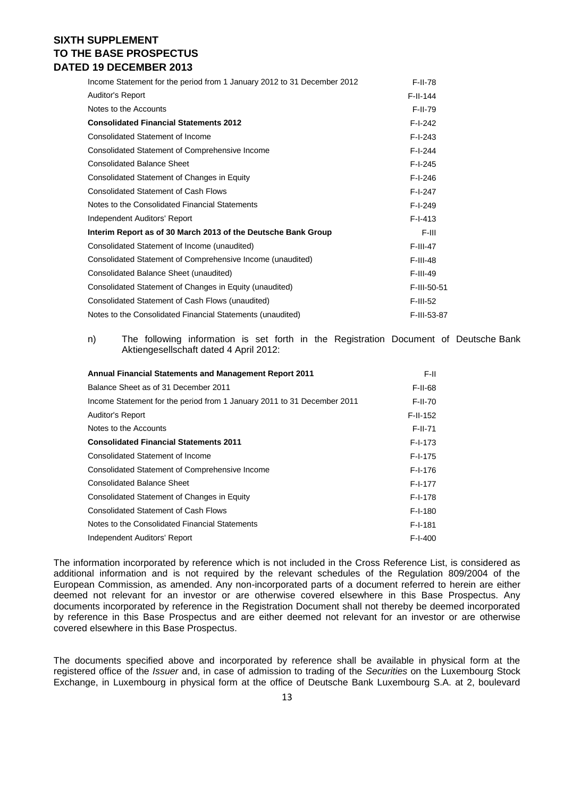| Income Statement for the period from 1 January 2012 to 31 December 2012 | F-II-78     |
|-------------------------------------------------------------------------|-------------|
| <b>Auditor's Report</b>                                                 | $F-II-144$  |
| Notes to the Accounts                                                   | $F-II-79$   |
| <b>Consolidated Financial Statements 2012</b>                           | $F-I-242$   |
| Consolidated Statement of Income                                        | $F-I-243$   |
| Consolidated Statement of Comprehensive Income                          | $F-I-244$   |
| <b>Consolidated Balance Sheet</b>                                       | $F-I-245$   |
| Consolidated Statement of Changes in Equity                             | $F-I-246$   |
| <b>Consolidated Statement of Cash Flows</b>                             | $F-I-247$   |
| Notes to the Consolidated Financial Statements                          | $F-I-249$   |
| Independent Auditors' Report                                            | $F-I-413$   |
| Interim Report as of 30 March 2013 of the Deutsche Bank Group           | F-III       |
| Consolidated Statement of Income (unaudited)                            | $F-III-47$  |
| Consolidated Statement of Comprehensive Income (unaudited)              | $F-III-48$  |
| Consolidated Balance Sheet (unaudited)                                  | F-III-49    |
| Consolidated Statement of Changes in Equity (unaudited)                 | F-III-50-51 |
| Consolidated Statement of Cash Flows (unaudited)                        | F-III-52    |
| Notes to the Consolidated Financial Statements (unaudited)              | F-III-53-87 |

n) The following information is set forth in the Registration Document of Deutsche Bank Aktiengesellschaft dated 4 April 2012:

| <b>Annual Financial Statements and Management Report 2011</b>           | F-II.          |
|-------------------------------------------------------------------------|----------------|
| Balance Sheet as of 31 December 2011                                    | F-II-68        |
| Income Statement for the period from 1 January 2011 to 31 December 2011 | <b>F-II-70</b> |
| <b>Auditor's Report</b>                                                 | $F-I-I-152$    |
| Notes to the Accounts                                                   | F-II-71        |
| <b>Consolidated Financial Statements 2011</b>                           | $F-I-173$      |
| <b>Consolidated Statement of Income</b>                                 | $F-I-175$      |
| Consolidated Statement of Comprehensive Income                          | $F-I-176$      |
| <b>Consolidated Balance Sheet</b>                                       | $F-I-177$      |
| Consolidated Statement of Changes in Equity                             | $F-I-178$      |
| <b>Consolidated Statement of Cash Flows</b>                             | $F-I-180$      |
| Notes to the Consolidated Financial Statements                          | F-I-181        |
| Independent Auditors' Report                                            | $F-I-400$      |

The information incorporated by reference which is not included in the Cross Reference List, is considered as additional information and is not required by the relevant schedules of the Regulation 809/2004 of the European Commission, as amended. Any non-incorporated parts of a document referred to herein are either deemed not relevant for an investor or are otherwise covered elsewhere in this Base Prospectus. Any documents incorporated by reference in the Registration Document shall not thereby be deemed incorporated by reference in this Base Prospectus and are either deemed not relevant for an investor or are otherwise covered elsewhere in this Base Prospectus.

The documents specified above and incorporated by reference shall be available in physical form at the registered office of the *Issuer* and, in case of admission to trading of the *Securities* on the Luxembourg Stock Exchange, in Luxembourg in physical form at the office of Deutsche Bank Luxembourg S.A. at 2, boulevard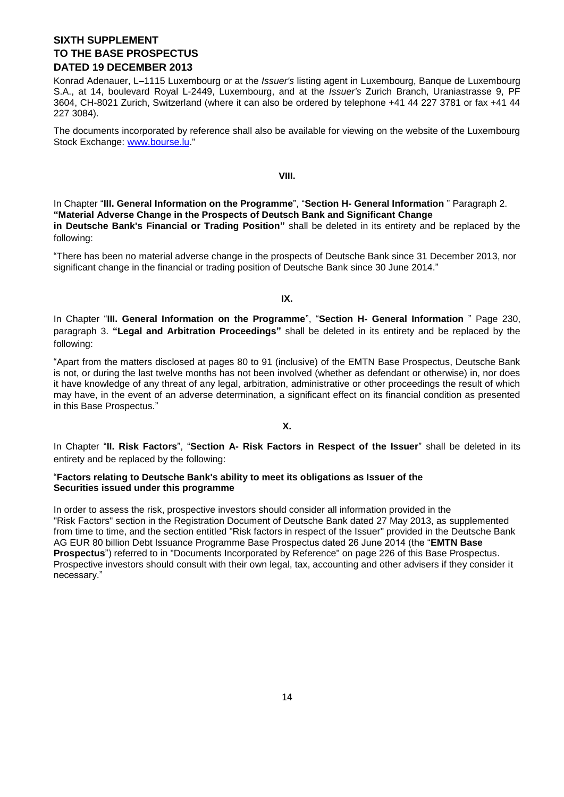Konrad Adenauer, L–1115 Luxembourg or at the *Issuer's* listing agent in Luxembourg, Banque de Luxembourg S.A., at 14, boulevard Royal L-2449, Luxembourg, and at the *Issuer's* Zurich Branch, Uraniastrasse 9, PF 3604, CH-8021 Zurich, Switzerland (where it can also be ordered by telephone +41 44 227 3781 or fax +41 44 227 3084).

The documents incorporated by reference shall also be available for viewing on the website of the Luxembourg Stock Exchange: [www.bourse.lu.](http://www.bourse.lu/)"

### **VIII.**

In Chapter "**III. General Information on the Programme**", "**Section H- General Information** " Paragraph 2. **"Material Adverse Change in the Prospects of Deutsch Bank and Significant Change in Deutsche Bank's Financial or Trading Position"** shall be deleted in its entirety and be replaced by the following:

"There has been no material adverse change in the prospects of Deutsche Bank since 31 December 2013, nor significant change in the financial or trading position of Deutsche Bank since 30 June 2014."

### **IX.**

In Chapter "**III. General Information on the Programme**", "**Section H- General Information** " Page 230, paragraph 3. **"Legal and Arbitration Proceedings"** shall be deleted in its entirety and be replaced by the following:

"Apart from the matters disclosed at pages 80 to 91 (inclusive) of the EMTN Base Prospectus, Deutsche Bank is not, or during the last twelve months has not been involved (whether as defendant or otherwise) in, nor does it have knowledge of any threat of any legal, arbitration, administrative or other proceedings the result of which may have, in the event of an adverse determination, a significant effect on its financial condition as presented in this Base Prospectus."

### **X.**

In Chapter "**II. Risk Factors**", "**Section A- Risk Factors in Respect of the Issuer**" shall be deleted in its entirety and be replaced by the following:

### "**Factors relating to Deutsche Bank's ability to meet its obligations as Issuer of the Securities issued under this programme**

In order to assess the risk, prospective investors should consider all information provided in the "Risk Factors" section in the Registration Document of Deutsche Bank dated 27 May 2013, as supplemented from time to time, and the section entitled "Risk factors in respect of the Issuer" provided in the Deutsche Bank AG EUR 80 billion Debt Issuance Programme Base Prospectus dated 26 June 2014 (the "**EMTN Base Prospectus**") referred to in "Documents Incorporated by Reference" on page 226 of this Base Prospectus. Prospective investors should consult with their own legal, tax, accounting and other advisers if they consider it necessary."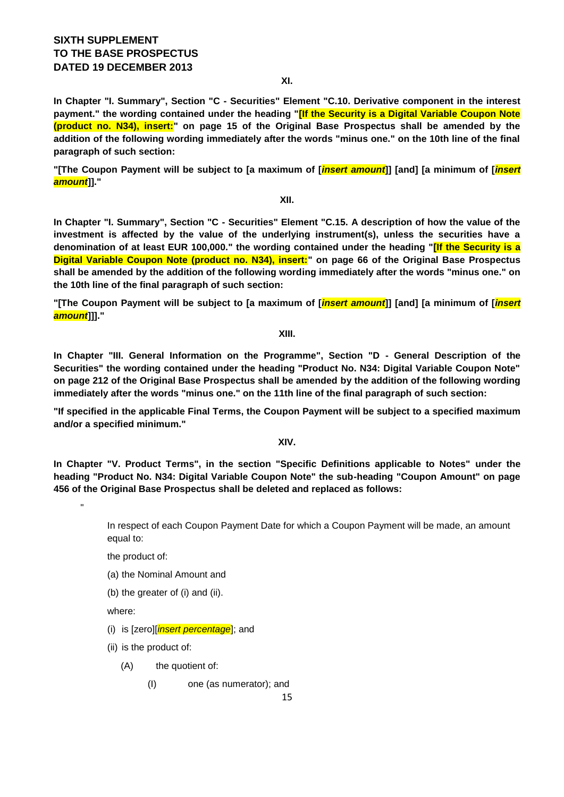**In Chapter "I. Summary", Section "C - Securities" Element "C.10. Derivative component in the interest payment." the wording contained under the heading "[If the Security is a Digital Variable Coupon Note (product no. N34), insert:" on page 15 of the Original Base Prospectus shall be amended by the addition of the following wording immediately after the words "minus one." on the 10th line of the final paragraph of such section:**

**"[The Coupon Payment will be subject to [a maximum of [***insert amount***]] [and] [a minimum of [***insert amount***]]."**

**XII.**

**In Chapter "I. Summary", Section "C - Securities" Element "C.15. A description of how the value of the investment is affected by the value of the underlying instrument(s), unless the securities have a denomination of at least EUR 100,000." the wording contained under the heading "[If the Security is a Digital Variable Coupon Note (product no. N34), insert:" on page 66 of the Original Base Prospectus shall be amended by the addition of the following wording immediately after the words "minus one." on the 10th line of the final paragraph of such section:**

**"[The Coupon Payment will be subject to [a maximum of [***insert amount***]] [and] [a minimum of [***insert amount***]]]."**

**XIII.**

**In Chapter "III. General Information on the Programme", Section "D - General Description of the Securities" the wording contained under the heading "Product No. N34: Digital Variable Coupon Note" on page 212 of the Original Base Prospectus shall be amended by the addition of the following wording immediately after the words "minus one." on the 11th line of the final paragraph of such section:**

**"If specified in the applicable Final Terms, the Coupon Payment will be subject to a specified maximum and/or a specified minimum."**

**XIV.**

**In Chapter "V. Product Terms", in the section "Specific Definitions applicable to Notes" under the heading "Product No. N34: Digital Variable Coupon Note" the sub-heading "Coupon Amount" on page 456 of the Original Base Prospectus shall be deleted and replaced as follows:**

> In respect of each Coupon Payment Date for which a Coupon Payment will be made, an amount equal to:

the product of:

- (a) the Nominal Amount and
- (b) the greater of (i) and (ii).

where:

"

- (i) is [zero][*insert percentage*]; and
- (ii) is the product of:
	- (A) the quotient of:
		- (I) one (as numerator); and